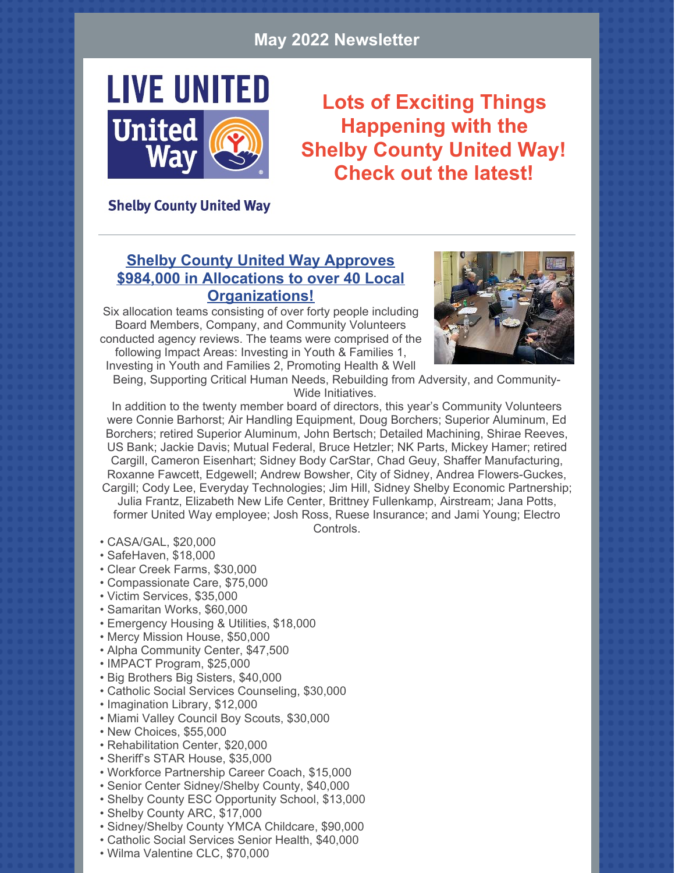#### **May 2022 Newsletter**



**Lots of Exciting Things Happening with the Shelby County United Way! Check out the latest!**

#### **Shelby County United Way**

#### **Shelby County United Way Approves \$984,000 in Allocations to over 40 Local Organizations!**

Six allocation teams consisting of over forty people including Board Members, Company, and Community Volunteers conducted agency reviews. The teams were comprised of the

following Impact Areas: Investing in Youth & Families 1, Investing in Youth and Families 2, Promoting Health & Well



Being, Supporting Critical Human Needs, Rebuilding from Adversity, and Community-Wide Initiatives.

In addition to the twenty member board of directors, this year's Community Volunteers were Connie Barhorst; Air Handling Equipment, Doug Borchers; Superior Aluminum, Ed Borchers; retired Superior Aluminum, John Bertsch; Detailed Machining, Shirae Reeves, US Bank; Jackie Davis; Mutual Federal, Bruce Hetzler; NK Parts, Mickey Hamer; retired Cargill, Cameron Eisenhart; Sidney Body CarStar, Chad Geuy, Shaffer Manufacturing, Roxanne Fawcett, Edgewell; Andrew Bowsher, City of Sidney, Andrea Flowers-Guckes, Cargill; Cody Lee, Everyday Technologies; Jim Hill, Sidney Shelby Economic Partnership;

Julia Frantz, Elizabeth New Life Center, Brittney Fullenkamp, Airstream; Jana Potts, former United Way employee; Josh Ross, Ruese Insurance; and Jami Young; Electro

Controls.

- CASA/GAL, \$20,000
- SafeHaven, \$18,000
- Clear Creek Farms, \$30,000
- Compassionate Care, \$75,000
- Victim Services, \$35,000
- Samaritan Works, \$60,000
- Emergency Housing & Utilities, \$18,000
- Mercy Mission House, \$50,000
- Alpha Community Center, \$47,500
- IMPACT Program, \$25,000
- Big Brothers Big Sisters, \$40,000
- Catholic Social Services Counseling, \$30,000
- Imagination Library, \$12,000
- Miami Valley Council Boy Scouts, \$30,000
- New Choices, \$55,000
- Rehabilitation Center, \$20,000
- Sheriff's STAR House, \$35,000
- Workforce Partnership Career Coach, \$15,000
- Senior Center Sidney/Shelby County, \$40,000
- Shelby County ESC Opportunity School, \$13,000
- Shelby County ARC, \$17,000
- Sidney/Shelby County YMCA Childcare, \$90,000
- Catholic Social Services Senior Health, \$40,000
- Wilma Valentine CLC, \$70,000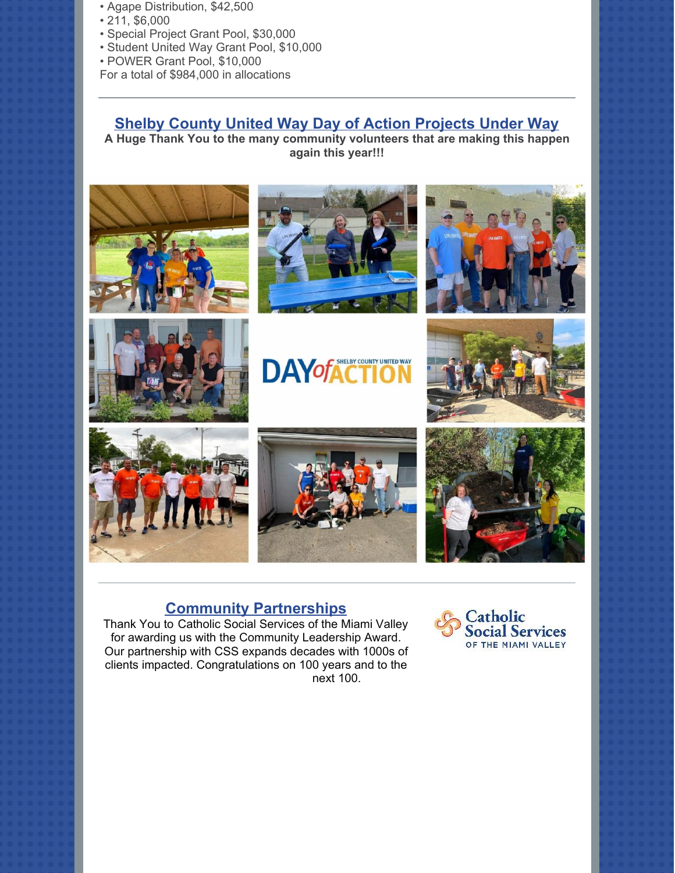- Agape Distribution, \$42,500
- 211, \$6,000
- Special Project Grant Pool, \$30,000
- Student United Way Grant Pool, \$10,000
- POWER Grant Pool, \$10,000
- For a total of \$984,000 in allocations

#### **Shelby County United Way Day of Action Projects Under Way**

**A Huge Thank You to the many community volunteers that are making this happen again this year!!!**



















#### **Community Partnerships**

Thank You to [Catholic Social Services of the Miami Valley](https://www.facebook.com/CSSMV/?__cft__%5B0%5D=AZUnVMnEdb7Nz-Xl3AX2402M2Pyq93y7zKWL8KkczeYOUKgFTrfd5ztlrh4a7KozZBb3LW0HHb12X5mg9Y_MNfrOQBrIXCYmsm3olusLCNGTGpGCx8ZQet5oa5ZZ9P1vc3lV-Ek4iYUfv6MsYvzKecz9PHroxy1e1R8Sq_JQdtRAWzlfWPNSGWmioDQj09oPJzQ&__tn__=kK-R) for awarding us with the Community Leadership Award. Our partnership with CSS expands decades with 1000s of clients impacted. Congratulations on 100 years and to the next 100.

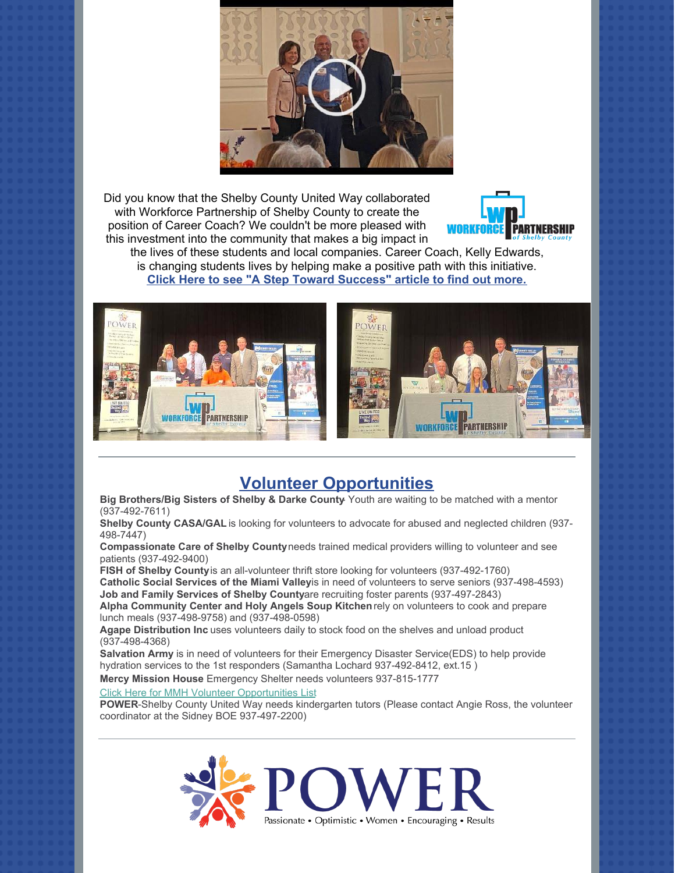

Did you know that the Shelby County United Way collaborated with Workforce Partnership of Shelby County to create the position of Career Coach? We couldn't be more pleased with this investment into the community that makes a big impact in



the lives of these students and local companies. Career Coach, Kelly Edwards, is changing students lives by helping make a positive path with this initiative. **[Click Here to see "A Step Toward Success" article to find out more.](https://www.sidneydailynews.com/news/221036/a-step-toward-success?fbclid=IwAR0cPdq1cNHBW7u5aNJH96oCgNBeUuN3fvvhb_sP-s5tXPisuBYiix5q8dk)**



#### **Volunteer Opportunities**

**Big Brothers/Big Sisters of Shelby & Darke County**- Youth are waiting to be matched with a mentor (937-492-7611)

**Shelby County CASA/GAL** is looking for volunteers to advocate for abused and neglected children (937- 498-7447)

**Compassionate Care of Shelby County** needs trained medical providers willing to volunteer and see patients (937-492-9400)

**FISH of Shelby County** is an all-volunteer thrift store looking for volunteers (937-492-1760) **Catholic Social Services of the Miami Valleyis in need of volunteers to serve seniors (937-498-4593) Job and Family Services of Shelby Countyare recruiting foster parents (937-497-2843)** 

**Alpha Community Center and Holy Angels Soup Kitchen** rely on volunteers to cook and prepare lunch meals (937-498-9758) and (937-498-0598)

**Agape Distribution Inc** uses volunteers daily to stock food on the shelves and unload product (937-498-4368)

**Salvation Army** is in need of volunteers for their Emergency Disaster Service(EDS) to help provide hydration services to the 1st responders (Samantha Lochard 937-492-8412, ext.15 )

**Mercy Mission House** Emergency Shelter needs volunteers 937-815-1777

#### [Click Here for MMH Volunteer Opportunities List](https://files.constantcontact.com/4a814c7e501/6909b815-8633-44d5-b5bb-0be6a369f729.pdf)

**POWER**-Shelby County United Way needs kindergarten tutors (Please contact Angie Ross, the volunteer coordinator at the Sidney BOE 937-497-2200)

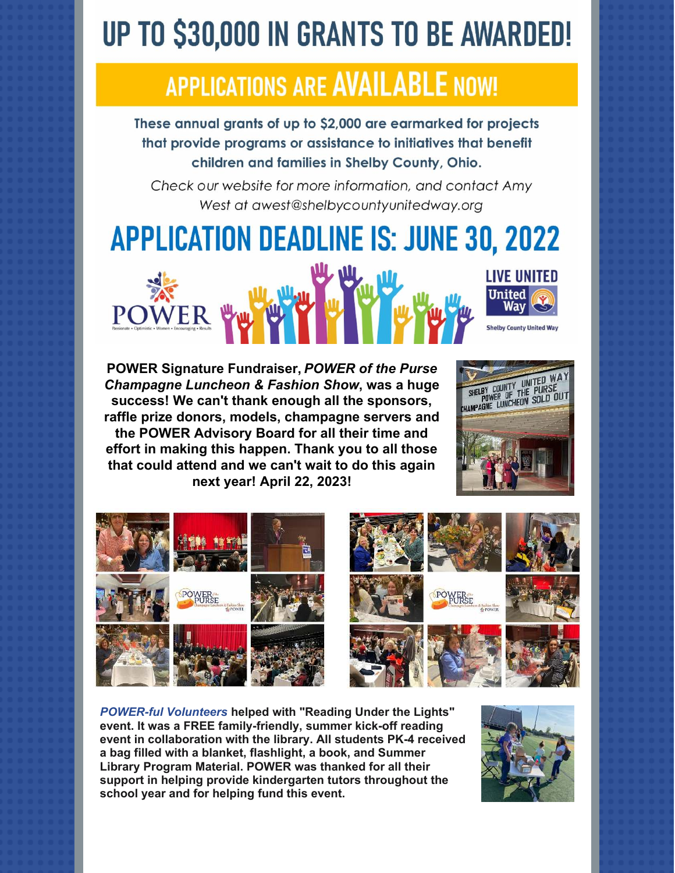# **UP TO \$30,000 IN GRANTS TO BE AWARDED!**

## **APPLICATIONS ARE AVAILABLE NOW!**

These annual grants of up to \$2,000 are earmarked for projects that provide programs or assistance to initiatives that benefit children and families in Shelby County, Ohio.

Check our website for more information, and contact Amy West at awest@shelbycountyunitedway.org

**APPLICATION DEADLINE IS: JUNE 30, 2022** 



**POWER Signature Fundraiser,** *POWER of the Purse Champagne Luncheon & Fashion Show***, was a huge success! We can't thank enough all the sponsors, raffle prize donors, models, champagne servers and the POWER Advisory Board for all their time and effort in making this happen. Thank you to all those that could attend and we can't wait to do this again next year! April 22, 2023!**





*POWER-ful Volunteers* **helped with "Reading Under the Lights" event. It was a FREE family-friendly, summer kick-off reading event in collaboration with the library. All students PK-4 received a bag filled with a blanket, flashlight, a book, and Summer Library Program Material. POWER was thanked for all their support in helping provide kindergarten tutors throughout the school year and for helping fund this event.**